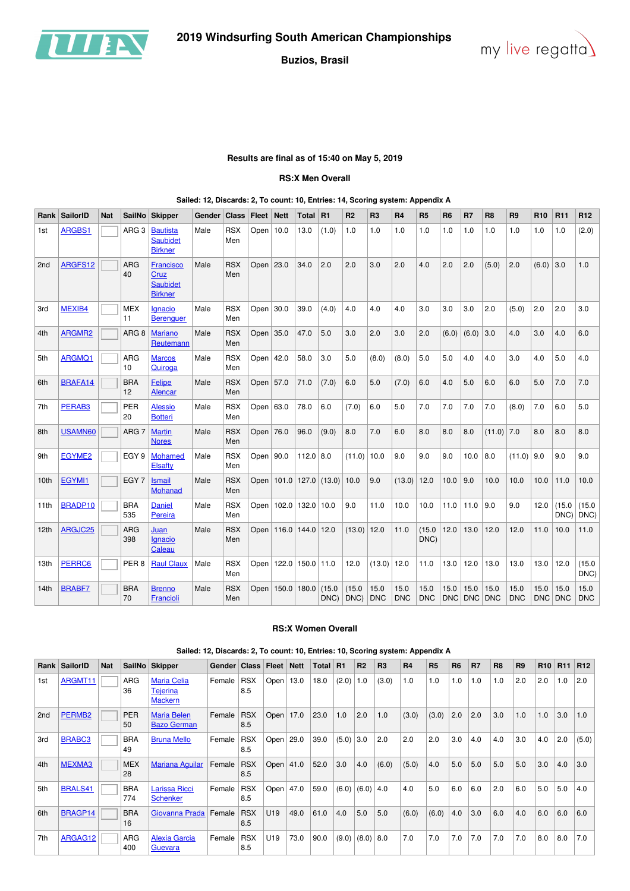



### **Results are final as of 15:40 on May 5, 2019**

#### **RS:X Men Overall**

#### **Sailed: 12, Discards: 2, To count: 10, Entries: 14, Scoring system: Appendix A**

| Rank             | <b>SailorID</b> | <b>Nat</b> | <b>SailNo</b>                 | <b>Skipper</b>                                         | Gender | <b>Class</b>      | <b>Fleet</b> | $\vert$ Nett                 | <b>Total</b> | R <sub>1</sub>                | R <sub>2</sub> | R <sub>3</sub>     | R <sub>4</sub>     | <b>R5</b>          | R <sub>6</sub> | R7    | R <sub>8</sub>      | R <sub>9</sub>     | R <sub>10</sub> | <b>R11</b>      | R <sub>12</sub>    |
|------------------|-----------------|------------|-------------------------------|--------------------------------------------------------|--------|-------------------|--------------|------------------------------|--------------|-------------------------------|----------------|--------------------|--------------------|--------------------|----------------|-------|---------------------|--------------------|-----------------|-----------------|--------------------|
| 1st              | ARGBS1          |            | ARG <sub>3</sub>              | <b>Bautista</b><br><b>Saubidet</b><br><b>Birkner</b>   | Male   | <b>RSX</b><br>Men | Open $10.0$  |                              | 13.0         | (1.0)                         | 1.0            | 1.0                | 1.0                | 1.0                | 1.0            | 1.0   | 1.0                 | 1.0                | 1.0             | 1.0             | (2.0)              |
| 2nd              | ARGFS12         |            | ARG<br>40                     | Francisco<br>Cruz<br><b>Saubidet</b><br><b>Birkner</b> | Male   | <b>RSX</b><br>Men | Open $23.0$  |                              | 34.0         | 2.0                           | 2.0            | 3.0                | 2.0                | 4.0                | 2.0            | 2.0   | (5.0)               | 2.0                | (6.0)           | 3.0             | 1.0                |
| 3rd              | MEXIB4          |            | <b>MEX</b><br>11              | Ignacio<br><b>Berenguer</b>                            | Male   | <b>RSX</b><br>Men | Open $30.0$  |                              | 39.0         | (4.0)                         | 4.0            | 4.0                | 4.0                | 3.0                | 3.0            | 3.0   | 2.0                 | (5.0)              | 2.0             | 2.0             | 3.0                |
| 4th              | ARGMR2          |            | ARG <sub>8</sub>              | <b>Mariano</b><br>Reutemann                            | Male   | <b>RSX</b><br>Men | Open $35.0$  |                              | 47.0         | 5.0                           | 3.0            | 2.0                | 3.0                | 2.0                | (6.0)          | (6.0) | 3.0                 | 4.0                | 3.0             | 4.0             | 6.0                |
| 5th              | ARGMQ1          |            | <b>ARG</b><br>10              | <b>Marcos</b><br>Quiroga                               | Male   | <b>RSX</b><br>Men | Open $ 42.0$ |                              | 58.0         | 3.0                           | 5.0            | (8.0)              | (8.0)              | 5.0                | 5.0            | 4.0   | 4.0                 | 3.0                | 4.0             | 5.0             | 4.0                |
| 6th              | BRAFA14         |            | <b>BRA</b><br>12 <sup>2</sup> | <b>Felipe</b><br><b>Alencar</b>                        | Male   | <b>RSX</b><br>Men | Open 57.0    |                              | 71.0         | (7.0)                         | 6.0            | 5.0                | (7.0)              | 6.0                | 4.0            | 5.0   | 6.0                 | 6.0                | 5.0             | 7.0             | 7.0                |
| 7th              | PERAB3          |            | PER<br>20                     | <b>Alessio</b><br><b>Botteri</b>                       | Male   | <b>RSX</b><br>Men | Open $63.0$  |                              | 78.0         | 6.0                           | (7.0)          | 6.0                | 5.0                | 7.0                | 7.0            | 7.0   | 7.0                 | (8.0)              | 7.0             | 6.0             | 5.0                |
| 8th              | USAMN60         |            | ARG 7                         | <b>Martin</b><br><b>Nores</b>                          | Male   | <b>RSX</b><br>Men | Open 76.0    |                              | 96.0         | (9.0)                         | 8.0            | 7.0                | 6.0                | 8.0                | 8.0            | 8.0   | $(11.0)$ 7.0        |                    | 8.0             | 8.0             | 8.0                |
| 9th              | EGYME2          |            | EGY 9                         | Mohamed<br>Elsafty                                     | Male   | <b>RSX</b><br>Men | Open   90.0  |                              | $112.0$ 8.0  |                               | (11.0)         | 10.0               | 9.0                | 9.0                | 9.0            | 10.0  | 8.0                 | $(11.0)$ 9.0       |                 | 9.0             | 9.0                |
| 10 <sub>th</sub> | EGYMI1          |            | EGY 7                         | <b>Ismail</b><br><b>Mohanad</b>                        | Male   | <b>RSX</b><br>Men |              |                              |              | Open   101.0   127.0   (13.0) | 10.0           | 9.0                | (13.0)             | 12.0               | 10.0           | 9.0   | 10.0                | 10.0               | 10.0            | 11.0            | 10.0               |
| 11th             | BRADP10         |            | <b>BRA</b><br>535             | <b>Daniel</b><br><b>Pereira</b>                        | Male   | <b>RSX</b><br>Men |              | Open   102.0   132.0   10.0  |              |                               | 9.0            | 11.0               | 10.0               | 10.0               | 11.0           | 11.0  | 9.0                 | 9.0                | 12.0            | (15.0)<br>DNC)  | (15.0)<br>DNC)     |
| 12 <sub>th</sub> | ARGJC25         |            | ARG<br>398                    | Juan<br><b>Ignacio</b><br>Caleau                       | Male   | <b>RSX</b><br>Men |              | Open   116.0   144.0   12.0  |              |                               | (13.0)         | 12.0               | 11.0               | (15.0)<br>DNC)     | 12.0           | 13.0  | 12.0                | 12.0               | 11.0            | 10.0            | 11.0               |
| 13th             | PERRC6          |            | PER <sub>8</sub>              | <b>Raul Claux</b>                                      | Male   | <b>RSX</b><br>Men |              | Open   122.0   150.0   11.0  |              |                               | 12.0           | (13.0)             | 12.0               | 11.0               | 13.0           | 12.0  | 13.0                | 13.0               | 13.0            | 12.0            | (15.0)<br>DNC      |
| 14th             | <b>BRABF7</b>   |            | <b>BRA</b><br>70              | <b>Brenno</b><br>Francioli                             | Male   | <b>RSX</b><br>Men |              | Open   150.0   180.0   (15.0 |              | $DNC$ )                       | (15.0)<br>DNC) | 15.0<br><b>DNC</b> | 15.0<br><b>DNC</b> | 15.0<br><b>DNC</b> | 15.0           | 15.0  | 15.0<br>DNC DNC DNC | 15.0<br><b>DNC</b> | 15.0            | 15.0<br>DNC DNC | 15.0<br><b>DNC</b> |

#### **RS:X Women Overall**

#### **Sailed: 12, Discards: 2, To count: 10, Entries: 10, Scoring system: Appendix A**

| Rank | SailorID           | <b>Nat</b> |                   | SailNo Skipper                                          | Gender | <b>Class</b>      | Fleet           | <b>Nett</b> | Total l | R1    | R <sub>2</sub> | R <sub>3</sub> | R <sub>4</sub> | <b>R5</b> | <b>R6</b> | R <sub>7</sub> | R <sub>8</sub> | R <sub>9</sub> | R <sub>10</sub> | R <sub>11</sub> | R <sub>12</sub> |
|------|--------------------|------------|-------------------|---------------------------------------------------------|--------|-------------------|-----------------|-------------|---------|-------|----------------|----------------|----------------|-----------|-----------|----------------|----------------|----------------|-----------------|-----------------|-----------------|
| 1st  | ARGMT11            |            | <b>ARG</b><br>36  | <b>Maria Celia</b><br><b>Tejerina</b><br><b>Mackern</b> | Female | <b>RSX</b><br>8.5 | $Open \mid$     | 13.0        | 18.0    | (2.0) | 1.0            | (3.0)          | 1.0            | 1.0       | 1.0       | 1.0            | 1.0            | 2.0            | 2.0             | 1.0             | 2.0             |
| 2nd  | PERMB <sub>2</sub> |            | <b>PER</b><br>50  | <b>Maria Belen</b><br><b>Bazo German</b>                | Female | <b>RSX</b><br>8.5 | Open            | 17.0        | 23.0    | 1.0   | 2.0            | 1.0            | (3.0)          | (3.0)     | 2.0       | 2.0            | 3.0            | 1.0            | 1.0             | 3.0             | 1.0             |
| 3rd  | <b>BRABC3</b>      |            | <b>BRA</b><br>49  | <b>Bruna Mello</b>                                      | Female | <b>RSX</b><br>8.5 | Open $29.0$     |             | 39.0    | (5.0) | 3.0            | 2.0            | 2.0            | 2.0       | 3.0       | 4.0            | 4.0            | 3.0            | 4.0             | 2.0             | (5.0)           |
| 4th  | MEXMA3             |            | <b>MEX</b><br>28  | <b>Mariana Aguilar</b>                                  | Female | <b>RSX</b><br>8.5 | Open $ 41.0$    |             | 52.0    | 3.0   | 4.0            | (6.0)          | (5.0)          | 4.0       | 5.0       | 5.0            | 5.0            | 5.0            | 3.0             | 4.0             | 3.0             |
| 5th  | BRALS41            |            | <b>BRA</b><br>774 | Larissa Ricci<br><b>Schenker</b>                        | Female | <b>RSX</b><br>8.5 | Open            | 47.0        | 59.0    | (6.0) | (6.0)          | 4.0            | 4.0            | 5.0       | 6.0       | 6.0            | 2.0            | 6.0            | 5.0             | 5.0             | 4.0             |
| 6th  | BRAGP14            |            | <b>BRA</b><br>16  | Giovanna Prada                                          | Female | <b>RSX</b><br>8.5 | U <sub>19</sub> | 49.0        | 61.0    | 4.0   | 5.0            | 5.0            | (6.0)          | (6.0)     | 4.0       | 3.0            | 6.0            | 4.0            | 6.0             | 6.0             | 6.0             |
| 7th  | ARGAG12            |            | <b>ARG</b><br>400 | <b>Alexia Garcia</b><br>Guevara                         | Female | <b>RSX</b><br>8.5 | U19             | 73.0        | 90.0    | (9.0) | (8.0)          | 8.0            | 7.0            | 7.0       | 7.0       | 7.0            | 7.0            | 7.0            | 8.0             | 8.0             | 7.0             |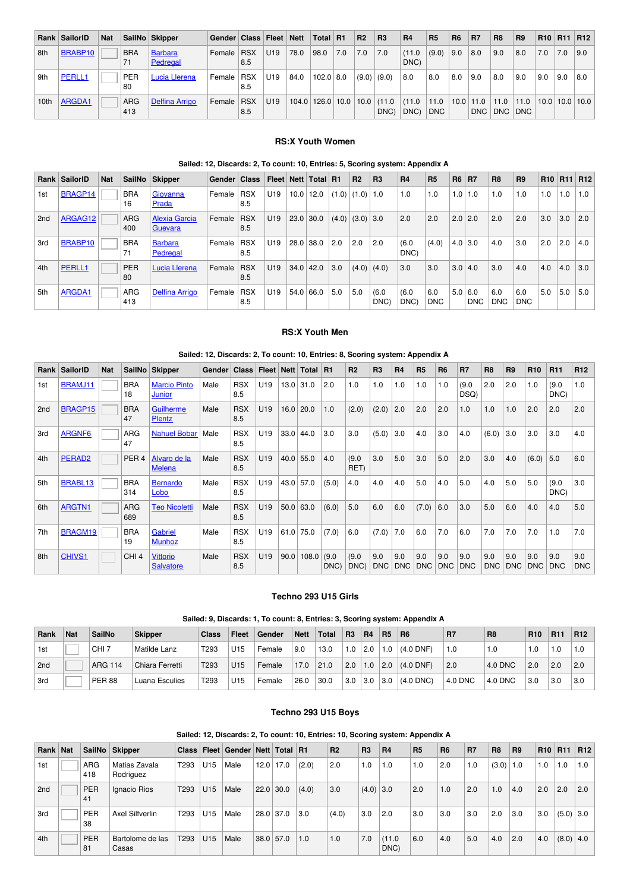|                  | Rank SailorID  | <b>Nat</b> |                  | SailNo Skipper             | Gender   Class   Fleet   Nett |                   |                 |      | Total R1               |     | R <sub>2</sub> | R <sub>3</sub>         | <b>R4</b>      | <b>R5</b>          | R <sub>6</sub> | <b>R7</b>            | R <sub>8</sub>     | R <sub>9</sub>     |     |     | R10   R11   R12      |
|------------------|----------------|------------|------------------|----------------------------|-------------------------------|-------------------|-----------------|------|------------------------|-----|----------------|------------------------|----------------|--------------------|----------------|----------------------|--------------------|--------------------|-----|-----|----------------------|
| 8th              | <b>BRABP10</b> |            | <b>BRA</b><br>71 | <b>Barbara</b><br>Pedregal | Female RSX                    | 8.5               | U <sub>19</sub> | 78.0 | 98.0                   | 7.0 | 7.0            | 7.0                    | (11.0)<br>DNC) | (9.0)              | 9.0            | 8.0                  | 9.0                | 8.0                | 7.0 | 7.0 | ∣9.0                 |
| 9th              | PERLL1         |            | PER<br>80        | Lucia Llerena              | Female                        | <b>RSX</b><br>8.5 | U <sub>19</sub> | 84.0 | $102.0$ 8.0            |     |                | $(9.0)$ $(9.0)$        | 8.0            | 8.0                | 8.0            | 9.0                  | 8.0                | 9.0                | 9.0 | 9.0 | 8.0                  |
| 10 <sub>th</sub> | ARGDA1         |            | ARG<br>413       | <b>Delfina Arrigo</b>      | Female                        | <b>RSX</b><br>8.5 | U <sub>19</sub> |      | $104.0$   126.0   10.0 |     |                | $10.0$ $(11.0$<br>DNC) | (11.0)<br>DNC) | 11.0<br><b>DNC</b> |                | $10.0$   11.0<br>DNC | 11.0<br><b>DNC</b> | 11.0<br><b>DNC</b> |     |     | $10.0$   10.0   10.0 |

#### **RS:X Youth Women**

#### **Sailed: 12, Discards: 2, To count: 10, Entries: 5, Scoring system: Appendix A**

|     | Rank SailorID | <b>Nat</b> | SailNo            | <b>Skipper</b>                  | Gender ∣ | <b>Class</b>      |                 |      | Fleet   Nett   Total   R1 |     | R <sub>2</sub>      | R <sub>3</sub>  | R <sub>4</sub> | <b>R5</b>         | <b>R6</b>        | <b>R7</b>         | R <sub>8</sub>    | R <sub>9</sub>    |     | R <sub>10</sub> R <sub>11</sub> | R12 |
|-----|---------------|------------|-------------------|---------------------------------|----------|-------------------|-----------------|------|---------------------------|-----|---------------------|-----------------|----------------|-------------------|------------------|-------------------|-------------------|-------------------|-----|---------------------------------|-----|
| 1st | BRAGP14       |            | <b>BRA</b><br>16  | Giovanna<br>Prada               | Female   | <b>RSX</b><br>8.5 | U <sub>19</sub> | 10.0 | 12.0                      |     | $(1.0)$ $(1.0)$ 1.0 |                 | 1.0            | 1.0               | 1.0 <sub>1</sub> | 1.0               | 1.0               | 1.0               | 1.0 | 1.0                             | 1.0 |
| 2nd | ARGAG12       |            | <b>ARG</b><br>400 | <b>Alexia Garcia</b><br>Guevara | Female   | <b>RSX</b><br>8.5 | U <sub>19</sub> | 23.0 | 30.0                      |     | $(4.0)$ $(3.0)$ 3.0 |                 | 2.0            | 2.0               | 2.0              | 2.0               | 2.0               | 2.0               | 3.0 | 3.0                             | 2.0 |
| 3rd | BRABP10       |            | <b>BRA</b><br>71  | <b>Barbara</b><br>Pedregal      | Female   | <b>RSX</b><br>8.5 | U <sub>19</sub> | 28.0 | 38.0                      | 2.0 | 2.0                 | 2.0             | (6.0)<br>DNC)  | (4.0)             |                  | $4.0$ 3.0         | 4.0               | 3.0               | 2.0 | 2.0                             | 4.0 |
| 4th | PERLL1        |            | <b>PER</b><br>80  | Lucia Llerena                   | Female   | <b>RSX</b><br>8.5 | U <sub>19</sub> | 34.0 | 42.0                      | 3.0 |                     | $(4.0)$ $(4.0)$ | 3.0            | 3.0               |                  | 3.0   4.0         | 3.0               | 4.0               | 4.0 | 4.0                             | 3.0 |
| 5th | ARGDA1        |            | <b>ARG</b><br>413 | <b>Delfina Arrigo</b>           | Female   | <b>RSX</b><br>8.5 | U <sub>19</sub> | 54.0 | 66.0                      | 5.0 | 5.0                 | (6.0)<br>DNC)   | (6.0)<br>DNC)  | 6.0<br><b>DNC</b> | 5.0              | 6.0<br><b>DNC</b> | 6.0<br><b>DNC</b> | 6.0<br><b>DNC</b> | 5.0 | 5.0                             | 5.0 |

#### **RS:X Youth Men**

|     |                    |            |                   |                                     | Sailed: 12, Discards: 2, To count: 10, Entries: 8, Scoring system: Appendix A |                              |                 |      |             |               |                |                   |                   |                   |                   |                   |                   |                   |                   |                   |                   |
|-----|--------------------|------------|-------------------|-------------------------------------|-------------------------------------------------------------------------------|------------------------------|-----------------|------|-------------|---------------|----------------|-------------------|-------------------|-------------------|-------------------|-------------------|-------------------|-------------------|-------------------|-------------------|-------------------|
|     | Rank SailorID      | <b>Nat</b> |                   | SailNo Skipper                      | Gender                                                                        | Class   Fleet   Nett   Total |                 |      |             | R1            | R <sub>2</sub> | R <sub>3</sub>    | R <sub>4</sub>    | <b>R5</b>         | <b>R6</b>         | R7                | R <sub>8</sub>    | <b>R9</b>         | R <sub>10</sub>   | R <sub>11</sub>   | R <sub>12</sub>   |
| 1st | BRAMJ11            |            | <b>BRA</b><br>18  | <b>Marcio Pinto</b><br>Junior       | Male                                                                          | <b>RSX</b><br>8.5            | U <sub>19</sub> |      | $13.0$ 31.0 | 2.0           | 1.0            | 1.0               | 1.0               | 1.0               | 1.0               | (9.0)<br>DSQ)     | 2.0               | 2.0               | 1.0               | (9.0)<br>DNC)     | 1.0               |
| 2nd | BRAGP15            |            | <b>BRA</b><br>47  | Guilherme<br><b>Plentz</b>          | Male                                                                          | <b>RSX</b><br>8.5            | U <sub>19</sub> |      | $16.0$ 20.0 | 1.0           | (2.0)          | (2.0)             | 2.0               | 2.0               | 2.0               | 1.0               | 1.0               | 1.0               | 2.0               | 2.0               | 2.0               |
| 3rd | ARGNF6             |            | ARG<br>47         | <b>Nahuel Bobar</b>                 | Male                                                                          | <b>RSX</b><br>8.5            | U <sub>19</sub> | 33.0 | 44.0        | 3.0           | 3.0            | (5.0)             | 3.0               | 4.0               | 3.0               | 4.0               | (6.0)             | 3.0               | 3.0               | 3.0               | 4.0               |
| 4th | PERAD <sub>2</sub> |            | PER <sub>4</sub>  | Alvaro de la<br><b>Melena</b>       | Male                                                                          | <b>RSX</b><br>8.5            | U <sub>19</sub> | 40.0 | 55.0        | 4.0           | (9.0)<br>RET)  | 3.0               | 5.0               | 3.0               | 5.0               | 2.0               | 3.0               | 4.0               | (6.0)             | 5.0               | 6.0               |
| 5th | BRABL13            |            | <b>BRA</b><br>314 | <b>Bernardo</b><br>Lobo             | Male                                                                          | <b>RSX</b><br>8.5            | U <sub>19</sub> | 43.0 | 57.0        | (5.0)         | 4.0            | 4.0               | 4.0               | 5.0               | 4.0               | 5.0               | 4.0               | 5.0               | 5.0               | (9.0)<br>DNC)     | 3.0               |
| 6th | ARGTN1             |            | <b>ARG</b><br>689 | <b>Teo Nicoletti</b>                | Male                                                                          | <b>RSX</b><br>8.5            | U <sub>19</sub> |      | 50.0   63.0 | (6.0)         | 5.0            | 6.0               | 6.0               | (7.0)             | 6.0               | 3.0               | 5.0               | 6.0               | 4.0               | 4.0               | 5.0               |
| 7th | BRAGM19            |            | <b>BRA</b><br>19  | Gabriel<br><b>Munhoz</b>            | Male                                                                          | <b>RSX</b><br>8.5            | U <sub>19</sub> | 61.0 | 75.0        | (7.0)         | 6.0            | (7.0)             | 7.0               | 6.0               | 7.0               | 6.0               | 7.0               | 7.0               | 7.0               | 1.0               | 7.0               |
| 8th | <b>CHIVS1</b>      |            | CHI <sub>4</sub>  | <b>Vittorio</b><br><b>Salvatore</b> | Male                                                                          | <b>RSX</b><br>8.5            | U <sub>19</sub> | 90.0 | 108.0       | (9.0)<br>DNC) | (9.0)<br>DNC)  | 9.0<br><b>DNC</b> | 9.0<br><b>DNC</b> | 9.0<br><b>DNC</b> | 9.0<br><b>DNC</b> | 9.0<br><b>DNC</b> | 9.0<br><b>DNC</b> | 9.0<br><b>DNC</b> | 9.0<br><b>DNC</b> | 9.0<br><b>DNC</b> | 9.0<br><b>DNC</b> |

#### **Techno 293 U15 Girls**

# **Sailed: 9, Discards: 1, To count: 8, Entries: 3, Scoring system: Appendix A**

| Rank | <b>Nat</b> | SailNo           | <b>Skipper</b>  | <b>Class</b>     | <b>Fleet</b>    | Gender | <b>Nett</b> | Total | R <sub>3</sub> | R4          | <b>R5</b> | R <sub>6</sub> | <b>R7</b> | R <sub>8</sub> | <b>R10</b> | R <sub>11</sub> | R <sub>12</sub> |
|------|------------|------------------|-----------------|------------------|-----------------|--------|-------------|-------|----------------|-------------|-----------|----------------|-----------|----------------|------------|-----------------|-----------------|
| 1st  |            | CHI <sub>7</sub> | Matilde Lanz    | T293             | U <sub>15</sub> | Female | 9.0         | 13.0  | 1.0            | 2.0         | 1.0       | $(4.0$ DNF)    | 1.0       | 1.0            | 1.0        | 1.0             |                 |
| 2nd  |            | <b>ARG 114</b>   | Chiara Ferretti | T <sub>293</sub> | U <sub>15</sub> | Female | 17.0        | 21.0  | 2.0            | 1.0         | 2.0       | $(4.0$ DNF)    | 2.0       | 4.0 DNC        | 2.0        | 2.0             | 2.0             |
| 3rd  |            | <b>PER 88</b>    | Luana Esculies  | T293             | U <sub>15</sub> | Female | 26.0        | 30.0  | 3.0            | $\vert$ 3.0 | 3.0       | $(4.0$ DNC $)$ | 4.0 DNC   | 4.0 DNC        | 3.0        | 3.0             | 3.0             |

### **Techno 293 U15 Boys**

# **Sailed: 12, Discards: 2, To count: 10, Entries: 10, Scoring system: Appendix A**

|          |                  |                            |              |     |                                |      |             |             |                |                | Salied. 12, Discards. 2, To Count. To, Entries. To, Scoring System. Appendix A |           |           |     |                |                |                 |                 |             |
|----------|------------------|----------------------------|--------------|-----|--------------------------------|------|-------------|-------------|----------------|----------------|--------------------------------------------------------------------------------|-----------|-----------|-----|----------------|----------------|-----------------|-----------------|-------------|
| Rank Nat | SailNo           | Skipper                    | <b>Class</b> |     | Fleet Gender Nett   Total   R1 |      |             |             | R <sub>2</sub> | R <sub>3</sub> | R <sub>4</sub>                                                                 | <b>R5</b> | <b>R6</b> | R7  | R <sub>8</sub> | R <sub>9</sub> | R <sub>10</sub> | R <sub>11</sub> | R12         |
| 1st      | ARG<br>418       | Matias Zavala<br>Rodriguez | T293         | U15 | Male                           | 12.0 | 17.0        | (2.0)       | 2.0            | 1.0            | 1.0                                                                            | 1.0       | 2.0       | 1.0 | (3.0)          | 1.0            | 1.0             | 1.0             | 1.0         |
| 2nd      | <b>PER</b><br>41 | Ignacio Rios               | T293         | U15 | Male                           |      | $22.0$ 30.0 | (4.0)       | 3.0            | $(4.0)$ 3.0    |                                                                                | 2.0       | 1.0       | 2.0 | 1.0            | 4.0            | 2.0             | 2.0             | 2.0         |
| 3rd      | <b>PER</b><br>38 | Axel Silfverlin            | T293         | U15 | Male                           |      | $28.0$ 37.0 | 3.0         | (4.0)          | 3.0            | 2.0                                                                            | 3.0       | 3.0       | 3.0 | 2.0            | 3.0            | 3.0             |                 | $(5.0)$ 3.0 |
| 4th      | <b>PER</b><br>81 | Bartolome de las<br>Casas  | T293         | U15 | Male                           |      | $38.0$ 57.0 | $\vert$ 1.0 | 1.0            | 7.0            | (11.0)<br>DNC)                                                                 | 6.0       | 4.0       | 5.0 | 4.0            | 2.0            | 4.0             | $(8.0)$ 4.0     |             |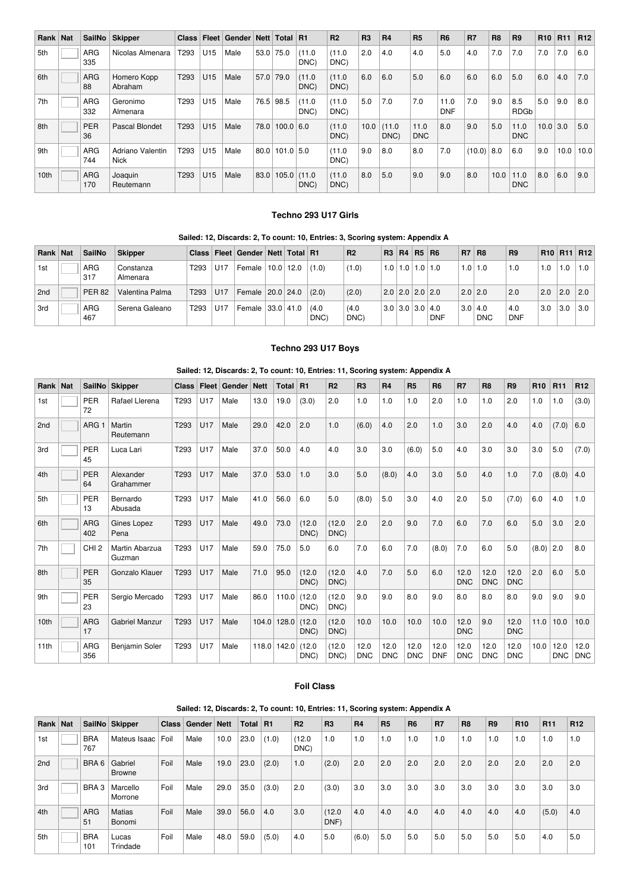| Rank Nat | SailNo            | <b>Skipper</b>           | <b>Class</b>     |                 | Fleet   Gender   Nett   Total   R1 |           |               |                | R <sub>2</sub> | R <sub>3</sub> | R <sub>4</sub> | R <sub>5</sub>     | <b>R6</b>          | R7     | R <sub>8</sub> | R <sub>9</sub>     | <b>R10</b> | R <sub>11</sub> | R <sub>12</sub> |
|----------|-------------------|--------------------------|------------------|-----------------|------------------------------------|-----------|---------------|----------------|----------------|----------------|----------------|--------------------|--------------------|--------|----------------|--------------------|------------|-----------------|-----------------|
| 5th      | ARG<br>335        | Nicolas Almenara         | T <sub>293</sub> | U <sub>15</sub> | Male                               | 53.0      | 75.0          | (11.0)<br>DNC) | (11.0<br>DNC)  | 2.0            | 4.0            | 4.0                | 5.0                | 4.0    | 7.0            | 7.0                | 7.0        | 7.0             | 6.0             |
| 6th      | <b>ARG</b><br>88  | Homero Kopp<br>Abraham   | T293             | U <sub>15</sub> | Male                               | 57.0      | 79.0          | (11.0)<br>DNC) | (11.0)<br>DNC) | 6.0            | 6.0            | 5.0                | 6.0                | 6.0    | 6.0            | 5.0                | 6.0        | 4.0             | 7.0             |
| 7th      | <b>ARG</b><br>332 | Geronimo<br>Almenara     | T293             | U15             | Male                               | 76.5 98.5 |               | (11.0)<br>DNC) | (11.0<br>DNC)  | 5.0            | 7.0            | 7.0                | 11.0<br><b>DNF</b> | 7.0    | 9.0            | 8.5<br><b>RDGb</b> | 5.0        | 9.0             | 8.0             |
| 8th      | <b>PER</b><br>36  | Pascal Blondet           | T293             | U <sub>15</sub> | Male                               | 78.0      | $100.0$ 6.0   |                | (11.0)<br>DNC) | 10.0           | (11.0)<br>DNC) | 11.0<br><b>DNC</b> | 8.0                | 9.0    | 5.0            | 11.0<br><b>DNC</b> | $10.0$ 3.0 |                 | 5.0             |
| 9th      | <b>ARG</b><br>744 | Adriano Valentin<br>Nick | T293             | U <sub>15</sub> | Male                               | 80.0      | $101.0$ 5.0   |                | (11.0<br>DNC)  | 9.0            | 8.0            | 8.0                | 7.0                | (10.0) | 8.0            | 6.0                | 9.0        | 10.0            | 10.0            |
| 10th     | <b>ARG</b><br>170 | Joaquin<br>Reutemann     | T <sub>293</sub> | U <sub>15</sub> | Male                               | 83.0      | $105.0$ (11.0 | DNC)           | (11.0)<br>DNC) | 8.0            | 5.0            | 9.0                | 9.0                | 8.0    | 10.0           | 11.0<br><b>DNC</b> | 8.0        | 6.0             | 9.0             |

# **Techno 293 U17 Girls**

| Rank Nat | <b>SailNo</b> | <b>Skipper</b>        |                  |                 | Class   Fleet   Gender   Nett   Total   R1 |           |               | R <sub>2</sub> | R3   R4                       | R5 R6 |            | <b>R7</b> | $ $ R <sub>8</sub>           | R <sub>9</sub>    |     |     | R10   R11   R12  |
|----------|---------------|-----------------------|------------------|-----------------|--------------------------------------------|-----------|---------------|----------------|-------------------------------|-------|------------|-----------|------------------------------|-------------------|-----|-----|------------------|
| 1st      | ARG<br>317    | Constanza<br>Almenara | T293             | U17             | Female                                     | 10.0 12.0 | (1.0)         | (1.0)          | $1.0$   $1.0$   $1.0$   $1.0$ |       |            |           | $1.0$   1.0                  | 1.0               | 1.0 | 1.0 | 1.0 <sub>1</sub> |
| 2nd      | <b>PER 82</b> | Valentina Palma       | T293             | U17             | Female   20.0   24.0                       |           | (2.0)         | (2.0)          | 2.0 2.0 2.0 2.0               |       |            | $2.0$ 2.0 |                              | 2.0               | 2.0 | 2.0 | 2.0              |
| 3rd      | ARG<br>467    | Serena Galeano        | T <sub>293</sub> | U <sub>17</sub> | Female 33.0 41.0                           |           | (4.0)<br>DNC) | (4.0)<br>DNC)  | $3.0$   3.0   3.0   4.0       |       | <b>DNF</b> |           | $3.0 \mid 4.0$<br><b>DNC</b> | 4.0<br><b>DNF</b> | 3.0 | 3.0 | 3.0              |

# **Techno 293 U17 Boys**

| Rank Nat |                   | SailNo Skipper           | <b>Class</b> | Fleet           | Gender | <b>Nett</b> | Total | <b>R1</b>      | R <sub>2</sub> | R <sub>3</sub>     | R <sub>4</sub>     | R <sub>5</sub>     | R <sub>6</sub>     | R7                 | R <sub>8</sub>     | R <sub>9</sub>     | R <sub>10</sub> | <b>R11</b>         | R <sub>12</sub> |
|----------|-------------------|--------------------------|--------------|-----------------|--------|-------------|-------|----------------|----------------|--------------------|--------------------|--------------------|--------------------|--------------------|--------------------|--------------------|-----------------|--------------------|-----------------|
| 1st      | <b>PER</b><br>72  | Rafael Llerena           | T293         | U <sub>17</sub> | Male   | 13.0        | 19.0  | (3.0)          | 2.0            | 1.0                | 1.0                | 1.0                | 2.0                | 1.0                | 1.0                | 2.0                | 1.0             | 1.0                | (3.0)           |
| 2nd      | ARG <sup>®</sup>  | Martin<br>Reutemann      | T293         | U <sub>17</sub> | Male   | 29.0        | 42.0  | 2.0            | 1.0            | (6.0)              | 4.0                | 2.0                | 1.0                | 3.0                | 2.0                | 4.0                | 4.0             | (7.0)              | 6.0             |
| 3rd      | <b>PER</b><br>45  | Luca Lari                | T293         | U <sub>17</sub> | Male   | 37.0        | 50.0  | 4.0            | 4.0            | 3.0                | 3.0                | (6.0)              | 5.0                | 4.0                | 3.0                | 3.0                | 3.0             | 5.0                | (7.0)           |
| 4th      | <b>PER</b><br>64  | Alexander<br>Grahammer   | T293         | U17             | Male   | 37.0        | 53.0  | 1.0            | 3.0            | 5.0                | (8.0)              | 4.0                | 3.0                | 5.0                | 4.0                | 1.0                | 7.0             | (8.0)              | 4.0             |
| 5th      | PER<br>13         | Bernardo<br>Abusada      | T293         | U17             | Male   | 41.0        | 56.0  | 6.0            | 5.0            | (8.0)              | 5.0                | 3.0                | 4.0                | 2.0                | 5.0                | (7.0)              | 6.0             | 4.0                | 1.0             |
| 6th      | <b>ARG</b><br>402 | Gines Lopez<br>Pena      | T293         | U17             | Male   | 49.0        | 73.0  | (12.0<br>DNC)  | (12.0)<br>DNC) | 2.0                | 2.0                | 9.0                | 7.0                | 6.0                | 7.0                | 6.0                | 5.0             | 3.0                | 2.0             |
| 7th      | CHI <sub>2</sub>  | Martin Abarzua<br>Guzman | T293         | U <sub>17</sub> | Male   | 59.0        | 75.0  | 5.0            | 6.0            | 7.0                | 6.0                | 7.0                | (8.0)              | 7.0                | 6.0                | 5.0                | (8.0)           | 2.0                | 8.0             |
| 8th      | <b>PER</b><br>35  | Gonzalo Klauer           | T293         | U17             | Male   | 71.0        | 95.0  | (12.0<br>DNC)  | (12.0)<br>DNC) | 4.0                | 7.0                | 5.0                | 6.0                | 12.0<br><b>DNC</b> | 12.0<br><b>DNC</b> | 12.0<br><b>DNC</b> | 2.0             | 6.0                | 5.0             |
| 9th      | PER<br>23         | Sergio Mercado           | T293         | U17             | Male   | 86.0        | 110.0 | (12.0)<br>DNC) | (12.0)<br>DNC) | 9.0                | 9.0                | 8.0                | 9.0                | 8.0                | 8.0                | 8.0                | 9.0             | 9.0                | 9.0             |
| 10th     | <b>ARG</b><br>17  | <b>Gabriel Manzur</b>    | T293         | U <sub>17</sub> | Male   | 104.0       | 128.0 | (12.0<br>DNC)  | (12.0)<br>DNC) | 10.0               | 10.0               | 10.0               | 10.0               | 12.0<br><b>DNC</b> | 9.0                | 12.0<br><b>DNC</b> | 11.0            | 10.0               | 10.0            |
| 11th     | ARG<br>356        | <b>Benjamin Soler</b>    | T293         | U17             | Male   | 118.0       | 142.0 | (12.0<br>DNC)  | (12.0)<br>DNC) | 12.0<br><b>DNC</b> | 12.0<br><b>DNC</b> | 12.0<br><b>DNC</b> | 12.0<br><b>DNF</b> | 12.0<br><b>DNC</b> | 12.0<br><b>DNC</b> | 12.0<br><b>DNC</b> | 10.0            | 12.0<br><b>DNC</b> | 12.0<br>DNC     |

# **Sailed: 12, Discards: 2, To count: 10, Entries: 11, Scoring system: Appendix A**

#### **Foil Class**

# **Sailed: 12, Discards: 2, To count: 10, Entries: 11, Scoring system: Appendix A**

| Rank | <b>Nat</b> |                   | SailNo Skipper           | <b>Class</b> | Gender   Nett |      | <b>Total</b> | R <sub>1</sub> | R <sub>2</sub> | R <sub>3</sub> | <b>R4</b> | <b>R5</b> | <b>R6</b> | <b>R7</b> | <b>R8</b> | R <sub>9</sub> | R <sub>10</sub> | R <sub>11</sub> | R <sub>12</sub> |
|------|------------|-------------------|--------------------------|--------------|---------------|------|--------------|----------------|----------------|----------------|-----------|-----------|-----------|-----------|-----------|----------------|-----------------|-----------------|-----------------|
| 1st  |            | <b>BRA</b><br>767 | Mateus Isaac             | Foil         | Male          | 10.0 | 23.0         | (1.0)          | (12.0)<br>DNC) | 1.0            | 1.0       | 1.0       | 1.0       | 1.0       | 1.0       | 1.0            | 1.0             | 1.0             | 1.0             |
| 2nd  |            | BRA 6             | Gabriel<br><b>Browne</b> | Foil         | Male          | 19.0 | 23.0         | (2.0)          | 1.0            | (2.0)          | 2.0       | 2.0       | 2.0       | 2.0       | 2.0       | 2.0            | 2.0             | 2.0             | 2.0             |
| 3rd  |            | BRA <sub>3</sub>  | Marcello<br>Morrone      | Foil         | Male          | 29.0 | 35.0         | (3.0)          | 2.0            | (3.0)          | 3.0       | 3.0       | 3.0       | 3.0       | 3.0       | 3.0            | 3.0             | 3.0             | 3.0             |
| 4th  |            | <b>ARG</b><br>51  | <b>Matias</b><br>Bonomi  | Foil         | Male          | 39.0 | 56.0         | 4.0            | 3.0            | (12.0)<br>DNF) | 4.0       | 4.0       | 4.0       | 4.0       | 4.0       | 4.0            | 4.0             | (5.0)           | 4.0             |
| 5th  |            | <b>BRA</b><br>101 | Lucas<br>Trindade        | Foil         | Male          | 48.0 | 59.0         | (5.0)          | 4.0            | 5.0            | (6.0)     | 5.0       | 5.0       | 5.0       | 5.0       | 5.0            | 5.0             | 4.0             | 5.0             |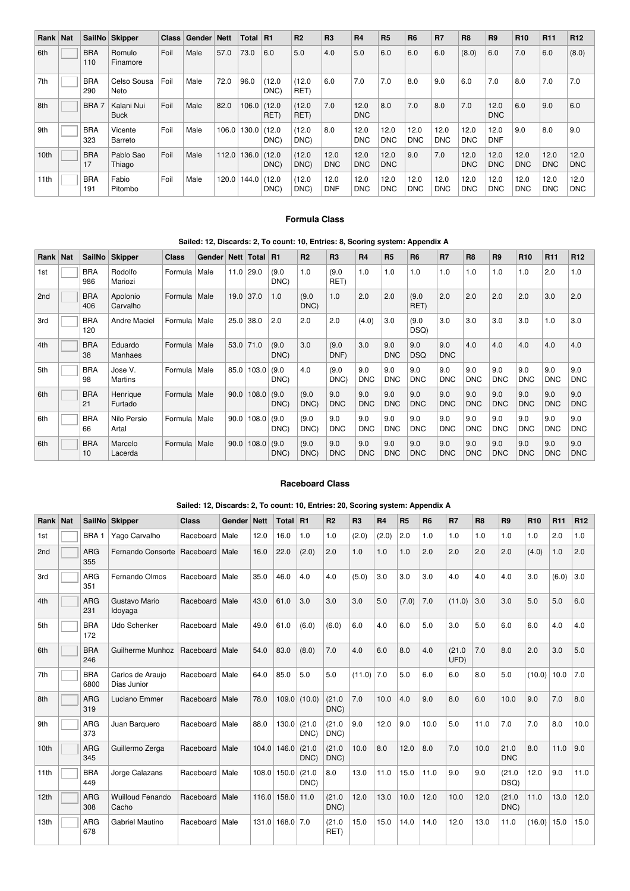| Rank | <b>Nat</b> |                   | SailNo Skipper            | <b>Class</b> | Gender   Nett |       | <b>Total</b> | R <sub>1</sub> | R <sub>2</sub> | R3                 | <b>R4</b>          | <b>R5</b>          | <b>R6</b>          | <b>R7</b>          | R <sub>8</sub>     | R <sub>9</sub>     | R <sub>10</sub>    | <b>R11</b>         | R <sub>12</sub>    |
|------|------------|-------------------|---------------------------|--------------|---------------|-------|--------------|----------------|----------------|--------------------|--------------------|--------------------|--------------------|--------------------|--------------------|--------------------|--------------------|--------------------|--------------------|
| 6th  |            | <b>BRA</b><br>110 | <b>Romulo</b><br>Finamore | Foil         | Male          | 57.0  | 73.0         | 6.0            | 5.0            | 4.0                | 5.0                | 6.0                | 6.0                | 6.0                | (8.0)              | 6.0                | 7.0                | 6.0                | (8.0)              |
| 7th  |            | <b>BRA</b><br>290 | Celso Sousa<br>Neto       | Foil         | Male          | 72.0  | 96.0         | (12.0<br>DNC)  | (12.0)<br>RET) | 6.0                | 7.0                | 7.0                | 8.0                | 9.0                | 6.0                | 7.0                | 8.0                | 7.0                | 7.0                |
| 8th  |            | <b>BRA</b>        | Kalani Nui<br><b>Buck</b> | Foil         | Male          | 82.0  | 106.0        | (12.0)<br>RET) | (12.0)<br>RET) | 7.0                | 12.0<br><b>DNC</b> | 8.0                | 7.0                | 8.0                | 7.0                | 12.0<br><b>DNC</b> | 6.0                | 9.0                | 6.0                |
| 9th  |            | <b>BRA</b><br>323 | Vicente<br>Barreto        | Foil         | Male          | 106.0 | 130.0        | (12.0)<br>DNC) | (12.0)<br>DNC) | 8.0                | 12.0<br><b>DNC</b> | 12.0<br><b>DNC</b> | 12.0<br><b>DNC</b> | 12.0<br><b>DNC</b> | 12.0<br><b>DNC</b> | 12.0<br><b>DNF</b> | 9.0                | 8.0                | 9.0                |
| 10th |            | <b>BRA</b><br>17  | Pablo Sao<br>Thiago       | Foil         | Male          | 112.0 | 136.0        | (12.0)<br>DNC) | (12.0)<br>DNC) | 12.0<br><b>DNC</b> | 12.0<br><b>DNC</b> | 12.0<br><b>DNC</b> | 9.0                | 7.0                | 12.0<br><b>DNC</b> | 12.0<br><b>DNC</b> | 12.0<br><b>DNC</b> | 12.0<br><b>DNC</b> | 12.0<br><b>DNC</b> |
| 11th |            | <b>BRA</b><br>191 | Fabio<br>Pitombo          | Foil         | Male          | 120.0 | 144.0        | (12.0)<br>DNC) | (12.0)<br>DNC) | 12.0<br><b>DNF</b> | 12.0<br><b>DNC</b> | 12.0<br>DNC.       | 12.0<br><b>DNC</b> | 12.0<br><b>DNC</b> | 12.0<br><b>DNC</b> | 12.0<br><b>DNC</b> | 12.0<br><b>DNC</b> | 12.0<br><b>DNC</b> | 12.0<br><b>DNC</b> |

# **Formula Class**

# **Sailed: 12, Discards: 2, To count: 10, Entries: 8, Scoring system: Appendix A**

| Rank | <b>Nat</b> | <b>SailNo</b>     | <b>Skipper</b>       | <b>Class</b> | Gender | <b>Nett</b> | <b>Total</b> | <b>R1</b>     | R <sub>2</sub> | R <sub>3</sub>    | R <sub>4</sub>    | R <sub>5</sub>    | R <sub>6</sub>    | <b>R7</b>         | R <sub>8</sub>    | R <sub>9</sub>    | R <sub>10</sub>   | R <sub>11</sub>   | R <sub>12</sub>   |
|------|------------|-------------------|----------------------|--------------|--------|-------------|--------------|---------------|----------------|-------------------|-------------------|-------------------|-------------------|-------------------|-------------------|-------------------|-------------------|-------------------|-------------------|
| 1st  |            | <b>BRA</b><br>986 | Rodolfo<br>Mariozi   | Formula      | Male   | 11.0        | 29.0         | (9.0)<br>DNC) | 1.0            | (9.0)<br>RET)     | 1.0               | 1.0               | 1.0               | 1.0               | 1.0               | 1.0               | 1.0               | 2.0               | 1.0               |
| 2nd  |            | <b>BRA</b><br>406 | Apolonio<br>Carvalho | Formula      | Male   | 19.0        | 37.0         | 1.0           | (9.0)<br>DNC)  | 1.0               | 2.0               | 2.0               | (9.0)<br>RET)     | 2.0               | 2.0               | 2.0               | 2.0               | 3.0               | 2.0               |
| 3rd  |            | <b>BRA</b><br>120 | <b>Andre Maciel</b>  | Formula      | Male   | 25.0        | 38.0         | 2.0           | 2.0            | 2.0               | (4.0)             | 3.0               | (9.0)<br>DSQ)     | 3.0               | 3.0               | 3.0               | 3.0               | 1.0               | 3.0               |
| 4th  |            | <b>BRA</b><br>38  | Eduardo<br>Manhaes   | Formula      | Male   | 53.0        | 71.0         | (9.0)<br>DNC) | 3.0            | (9.0)<br>DNF)     | 3.0               | 9.0<br><b>DNC</b> | 9.0<br><b>DSQ</b> | 9.0<br><b>DNC</b> | 4.0               | 4.0               | 4.0               | 4.0               | 4.0               |
| 5th  |            | <b>BRA</b><br>98  | Jose V.<br>Martins   | Formula      | Male   | 85.0        | 103.0        | (9.0)<br>DNC) | 4.0            | (9.0)<br>DNC)     | 9.0<br><b>DNC</b> | 9.0<br><b>DNC</b> | 9.0<br><b>DNC</b> | 9.0<br><b>DNC</b> | 9.0<br><b>DNC</b> | 9.0<br><b>DNC</b> | 9.0<br><b>DNC</b> | 9.0<br><b>DNC</b> | 9.0<br><b>DNC</b> |
| 6th  |            | <b>BRA</b><br>21  | Henrique<br>Furtado  | Formula      | Male   | 90.0        | 108.0        | (9.0)<br>DNC) | (9.0)<br>DNC)  | 9.0<br><b>DNC</b> | 9.0<br><b>DNC</b> | 9.0<br><b>DNC</b> | 9.0<br><b>DNC</b> | 9.0<br><b>DNC</b> | 9.0<br><b>DNC</b> | 9.0<br><b>DNC</b> | 9.0<br><b>DNC</b> | 9.0<br><b>DNC</b> | 9.0<br><b>DNC</b> |
| 6th  |            | <b>BRA</b><br>66  | Nilo Persio<br>Artal | Formula      | Male   | 90.0        | 108.0        | (9.0)<br>DNC) | (9.0)<br>DNC)  | 9.0<br><b>DNC</b> | 9.0<br><b>DNC</b> | 9.0<br>DNC        | 9.0<br><b>DNC</b> | 9.0<br><b>DNC</b> | 9.0<br><b>DNC</b> | 9.0<br><b>DNC</b> | 9.0<br><b>DNC</b> | 9.0<br><b>DNC</b> | 9.0<br><b>DNC</b> |
| 6th  |            | <b>BRA</b><br>10  | Marcelo<br>Lacerda   | Formula      | Male   | 90.0        | 108.0        | (9.0)<br>DNC) | (9.0)<br>DNC)  | 9.0<br><b>DNC</b> | 9.0<br><b>DNC</b> | 9.0<br><b>DNC</b> | 9.0<br><b>DNC</b> | 9.0<br><b>DNC</b> | 9.0<br><b>DNC</b> | 9.0<br><b>DNC</b> | 9.0<br><b>DNC</b> | 9.0<br><b>DNC</b> | 9.0<br><b>DNC</b> |

#### **Raceboard Class**

# **Sailed: 12, Discards: 2, To count: 10, Entries: 20, Scoring system: Appendix A**

| Rank   Nat |                    | SailNo Skipper                   | <b>Class</b>     | Gender | <b>Nett</b> | Total R1    |                | R <sub>2</sub> | R <sub>3</sub> | R <sub>4</sub> | R <sub>5</sub> | R <sub>6</sub> | R7             | R <sub>8</sub> | R <sub>9</sub>     | R <sub>10</sub> | <b>R11</b> | R <sub>12</sub> |
|------------|--------------------|----------------------------------|------------------|--------|-------------|-------------|----------------|----------------|----------------|----------------|----------------|----------------|----------------|----------------|--------------------|-----------------|------------|-----------------|
| 1st        | BRA <sub>1</sub>   | Yago Carvalho                    | Raceboard   Male |        | 12.0        | 16.0        | 1.0            | 1.0            | (2.0)          | (2.0)          | 2.0            | 1.0            | 1.0            | 1.0            | 1.0                | 1.0             | 2.0        | 1.0             |
| 2nd        | <b>ARG</b><br>355  | Fernando Consorte                | Raceboard   Male |        | 16.0        | 22.0        | (2.0)          | 2.0            | 1.0            | 1.0            | 1.0            | 2.0            | 2.0            | 2.0            | 2.0                | (4.0)           | 1.0        | 2.0             |
| 3rd        | ARG<br>351         | Fernando Olmos                   | Raceboard   Male |        | 35.0        | 46.0        | 4.0            | 4.0            | (5.0)          | 3.0            | 3.0            | 3.0            | 4.0            | 4.0            | 4.0                | 3.0             | (6.0)      | 3.0             |
| 4th        | <b>ARG</b><br>231  | Gustavo Mario<br>Idoyaga         | Raceboard   Male |        | 43.0        | 61.0        | 3.0            | 3.0            | 3.0            | 5.0            | (7.0)          | 7.0            | (11.0)         | 3.0            | 3.0                | 5.0             | 5.0        | 6.0             |
| 5th        | <b>BRA</b><br>172  | Udo Schenker                     | Raceboard   Male |        | 49.0        | 61.0        | (6.0)          | (6.0)          | 6.0            | 4.0            | 6.0            | 5.0            | 3.0            | 5.0            | 6.0                | 6.0             | 4.0        | 4.0             |
| 6th        | <b>BRA</b><br>246  | Guilherme Munhoz                 | Raceboard   Male |        | 54.0        | 83.0        | (8.0)          | 7.0            | 4.0            | 6.0            | 8.0            | 4.0            | (21.0)<br>UFD) | 7.0            | 8.0                | 2.0             | 3.0        | 5.0             |
| 7th        | <b>BRA</b><br>6800 | Carlos de Araujo<br>Dias Junior  | Raceboard   Male |        | 64.0        | 85.0        | 5.0            | 5.0            | (11.0)         | 7.0            | 5.0            | 6.0            | 6.0            | 8.0            | 5.0                | (10.0)          | 10.0       | 7.0             |
| 8th        | <b>ARG</b><br>319  | Luciano Emmer                    | Raceboard   Male |        | 78.0        |             | $109.0$ (10.0) | (21.0)<br>DNC) | 7.0            | 10.0           | 4.0            | 9.0            | 8.0            | 6.0            | 10.0               | 9.0             | 7.0        | 8.0             |
| 9th        | ARG<br>373         | Juan Barguero                    | Raceboard   Male |        | 88.0        | 130.0       | (21.0)<br>DNC) | (21.0)<br>DNC) | 9.0            | 12.0           | 9.0            | 10.0           | 5.0            | 11.0           | 7.0                | 7.0             | 8.0        | 10.0            |
| 10th       | <b>ARG</b><br>345  | Guillermo Zerga                  | Raceboard   Male |        | 104.0       | 146.0       | (21.0)<br>DNC) | (21.0)<br>DNC) | 10.0           | 8.0            | 12.0           | 8.0            | 7.0            | 10.0           | 21.0<br><b>DNC</b> | 8.0             | 11.0       | 9.0             |
| 11th       | <b>BRA</b><br>449  | Jorge Calazans                   | Raceboard   Male |        | 108.0       | 150.0       | (21.0)<br>DNC) | 8.0            | 13.0           | 11.0           | 15.0           | 11.0           | 9.0            | 9.0            | (21.0)<br>DSQ)     | 12.0            | 9.0        | 11.0            |
| 12th       | <b>ARG</b><br>308  | <b>Wuilloud Fenando</b><br>Cacho | Raceboard   Male |        | 116.0       | 158.0       | 11.0           | (21.0)<br>DNC) | 12.0           | 13.0           | 10.0           | 12.0           | 10.0           | 12.0           | (21.0)<br>DNC)     | 11.0            | 13.0       | 12.0            |
| 13th       | ARG<br>678         | Gabriel Mautino                  | Raceboard   Male |        | 131.0       | $168.0$ 7.0 |                | (21.0)<br>RET) | 15.0           | 15.0           | 14.0           | 14.0           | 12.0           | 13.0           | 11.0               | $(16.0)$ 15.0   |            | 15.0            |